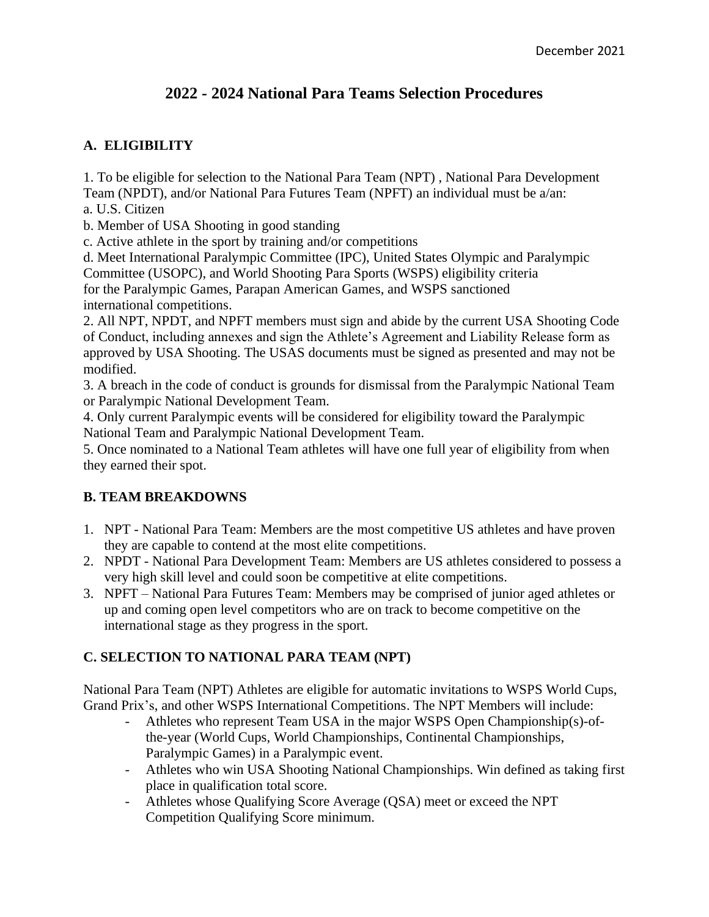# **2022 - 2024 National Para Teams Selection Procedures**

### **A. ELIGIBILITY**

1. To be eligible for selection to the National Para Team (NPT) , National Para Development Team (NPDT), and/or National Para Futures Team (NPFT) an individual must be a/an:

a. U.S. Citizen

b. Member of USA Shooting in good standing

c. Active athlete in the sport by training and/or competitions

d. Meet International Paralympic Committee (IPC), United States Olympic and Paralympic Committee (USOPC), and World Shooting Para Sports (WSPS) eligibility criteria for the Paralympic Games, Parapan American Games, and WSPS sanctioned international competitions.

2. All NPT, NPDT, and NPFT members must sign and abide by the current USA Shooting Code of Conduct, including annexes and sign the Athlete's Agreement and Liability Release form as approved by USA Shooting. The USAS documents must be signed as presented and may not be modified.

3. A breach in the code of conduct is grounds for dismissal from the Paralympic National Team or Paralympic National Development Team.

4. Only current Paralympic events will be considered for eligibility toward the Paralympic National Team and Paralympic National Development Team.

5. Once nominated to a National Team athletes will have one full year of eligibility from when they earned their spot.

#### **B. TEAM BREAKDOWNS**

- 1. NPT National Para Team: Members are the most competitive US athletes and have proven they are capable to contend at the most elite competitions.
- 2. NPDT National Para Development Team: Members are US athletes considered to possess a very high skill level and could soon be competitive at elite competitions.
- 3. NPFT National Para Futures Team: Members may be comprised of junior aged athletes or up and coming open level competitors who are on track to become competitive on the international stage as they progress in the sport.

## **C. SELECTION TO NATIONAL PARA TEAM (NPT)**

National Para Team (NPT) Athletes are eligible for automatic invitations to WSPS World Cups, Grand Prix's, and other WSPS International Competitions. The NPT Members will include:

- Athletes who represent Team USA in the major WSPS Open Championship(s)-ofthe-year (World Cups, World Championships, Continental Championships, Paralympic Games) in a Paralympic event.
- Athletes who win USA Shooting National Championships. Win defined as taking first place in qualification total score.
- Athletes whose Qualifying Score Average (QSA) meet or exceed the NPT Competition Qualifying Score minimum.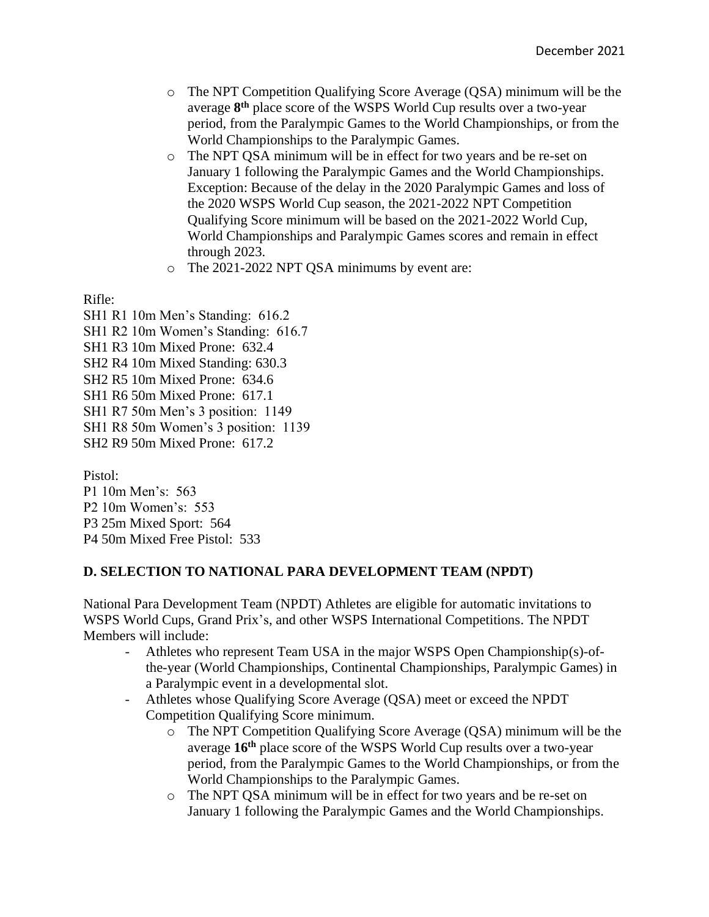- o The NPT Competition Qualifying Score Average (QSA) minimum will be the average **8 th** place score of the WSPS World Cup results over a two-year period, from the Paralympic Games to the World Championships, or from the World Championships to the Paralympic Games.
- o The NPT QSA minimum will be in effect for two years and be re-set on January 1 following the Paralympic Games and the World Championships. Exception: Because of the delay in the 2020 Paralympic Games and loss of the 2020 WSPS World Cup season, the 2021-2022 NPT Competition Qualifying Score minimum will be based on the 2021-2022 World Cup, World Championships and Paralympic Games scores and remain in effect through 2023.
- o The 2021-2022 NPT QSA minimums by event are:

Rifle:

SH1 R1 10m Men's Standing: 616.2 SH1 R2 10m Women's Standing: 616.7 SH1 R3 10m Mixed Prone: 632.4 SH2 R4 10m Mixed Standing: 630.3 SH2 R5 10m Mixed Prone: 634.6 SH1 R6 50m Mixed Prone: 617.1 SH1 R7 50m Men's 3 position: 1149 SH1 R8 50m Women's 3 position: 1139 SH2 R9 50m Mixed Prone: 617.2

Pistol:

P1 10m Men's: 563 P2 10m Women's: 553 P3 25m Mixed Sport: 564 P4 50m Mixed Free Pistol: 533

#### **D. SELECTION TO NATIONAL PARA DEVELOPMENT TEAM (NPDT)**

National Para Development Team (NPDT) Athletes are eligible for automatic invitations to WSPS World Cups, Grand Prix's, and other WSPS International Competitions. The NPDT Members will include:

- Athletes who represent Team USA in the major WSPS Open Championship(s)-ofthe-year (World Championships, Continental Championships, Paralympic Games) in a Paralympic event in a developmental slot.
- Athletes whose Qualifying Score Average (QSA) meet or exceed the NPDT Competition Qualifying Score minimum.
	- o The NPT Competition Qualifying Score Average (QSA) minimum will be the average **16th** place score of the WSPS World Cup results over a two-year period, from the Paralympic Games to the World Championships, or from the World Championships to the Paralympic Games.
	- o The NPT QSA minimum will be in effect for two years and be re-set on January 1 following the Paralympic Games and the World Championships.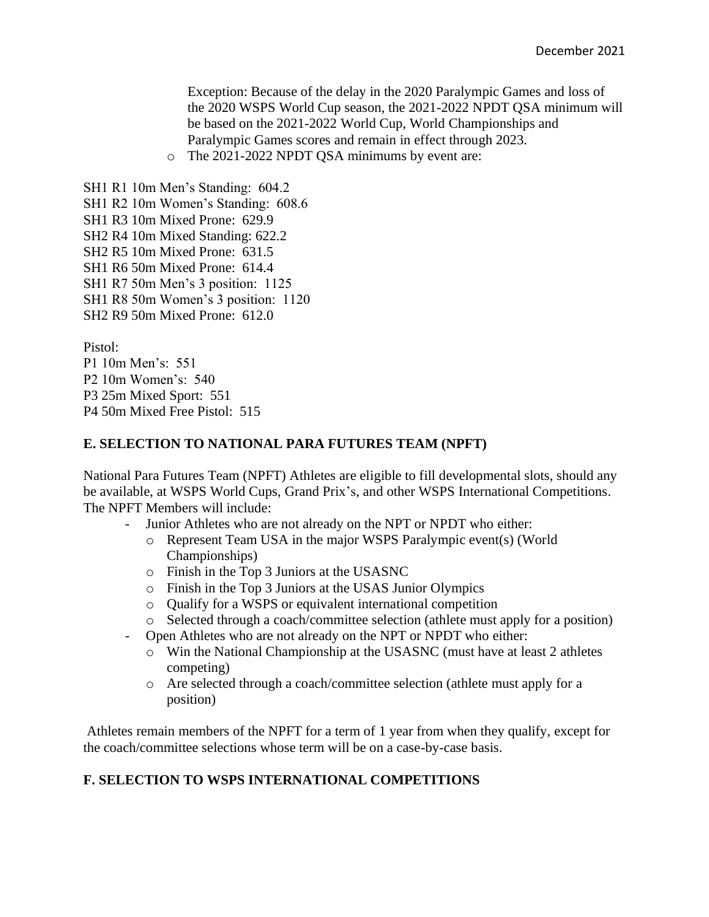Exception: Because of the delay in the 2020 Paralympic Games and loss of the 2020 WSPS World Cup season, the 2021-2022 NPDT QSA minimum will be based on the 2021-2022 World Cup, World Championships and Paralympic Games scores and remain in effect through 2023.

o The 2021-2022 NPDT QSA minimums by event are:

SH1 R1 10m Men's Standing: 604.2 SH1 R2 10m Women's Standing: 608.6 SH1 R3 10m Mixed Prone: 629.9 SH2 R4 10m Mixed Standing: 622.2 SH2 R5 10m Mixed Prone: 631.5 SH1 R6 50m Mixed Prone: 614.4 SH1 R7 50m Men's 3 position: 1125 SH1 R8 50m Women's 3 position: 1120 SH2 R9 50m Mixed Prone: 612.0

Pistol:

P1 10m Men's: 551 P2 10m Women's: 540 P3 25m Mixed Sport: 551 P4 50m Mixed Free Pistol: 515

#### **E. SELECTION TO NATIONAL PARA FUTURES TEAM (NPFT)**

National Para Futures Team (NPFT) Athletes are eligible to fill developmental slots, should any be available, at WSPS World Cups, Grand Prix's, and other WSPS International Competitions. The NPFT Members will include:

- Junior Athletes who are not already on the NPT or NPDT who either:
	- o Represent Team USA in the major WSPS Paralympic event(s) (World Championships)
	- o Finish in the Top 3 Juniors at the USASNC
	- o Finish in the Top 3 Juniors at the USAS Junior Olympics
	- o Qualify for a WSPS or equivalent international competition
	- o Selected through a coach/committee selection (athlete must apply for a position)
- Open Athletes who are not already on the NPT or NPDT who either:
	- o Win the National Championship at the USASNC (must have at least 2 athletes competing)
	- o Are selected through a coach/committee selection (athlete must apply for a position)

Athletes remain members of the NPFT for a term of 1 year from when they qualify, except for the coach/committee selections whose term will be on a case-by-case basis.

## **F. SELECTION TO WSPS INTERNATIONAL COMPETITIONS**